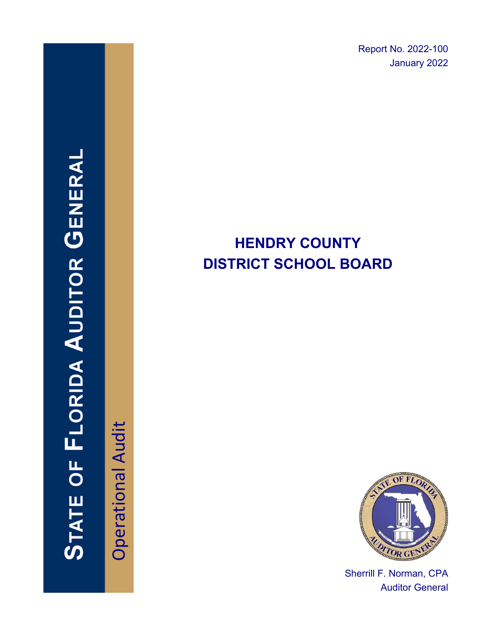Report No. 2022-100 January 2022

# **HENDRY COUNTY DISTRICT SCHOOL BOARD**



Sherrill F. Norman, CPA Auditor General

**Operational Audit** Operational Audit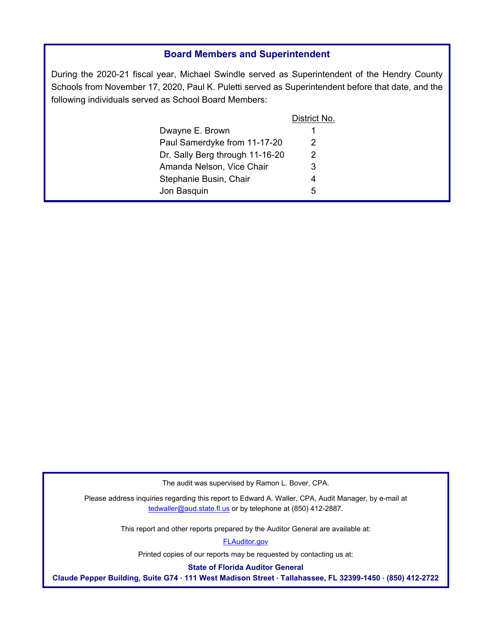#### **Board Members and Superintendent**

During the 2020-21 fiscal year, Michael Swindle served as Superintendent of the Hendry County Schools from November 17, 2020, Paul K. Puletti served as Superintendent before that date, and the following individuals served as School Board Members:

|                                 | District No. |
|---------------------------------|--------------|
| Dwayne E. Brown                 | 1            |
| Paul Samerdyke from 11-17-20    | 2            |
| Dr. Sally Berg through 11-16-20 | 2            |
| Amanda Nelson, Vice Chair       | 3            |
| Stephanie Busin, Chair          | 4            |
| Jon Basquin                     | 5            |
|                                 |              |

The audit was supervised by Ramon L. Bover, CPA.

Please address inquiries regarding this report to Edward A. Waller, CPA, Audit Manager, by e-mail at tedwaller@aud.state.fl.us or by telephone at (850) 412-2887.

This report and other reports prepared by the Auditor General are available at:

[FLAuditor.gov](http://flauditor.gov/)

Printed copies of our reports may be requested by contacting us at:

**State of Florida Auditor General** 

**Claude Pepper Building, Suite G74 · 111 West Madison Street · Tallahassee, FL 32399-1450 · (850) 412-2722**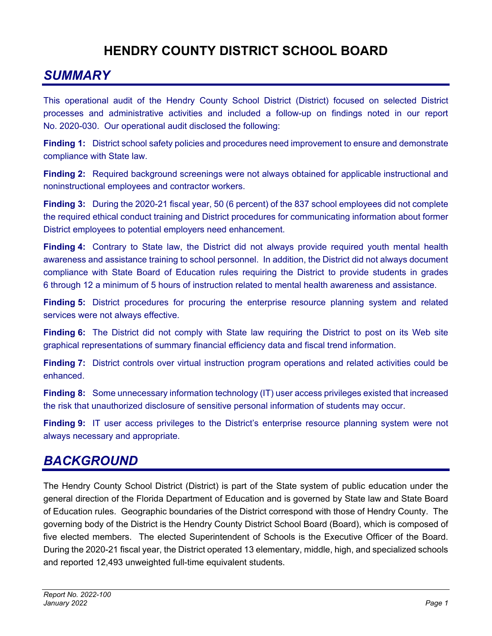### **HENDRY COUNTY DISTRICT SCHOOL BOARD**

### *SUMMARY*

This operational audit of the Hendry County School District (District) focused on selected District processes and administrative activities and included a follow-up on findings noted in our report No. 2020-030. Our operational audit disclosed the following:

**Finding 1:** District school safety policies and procedures need improvement to ensure and demonstrate compliance with State law.

**Finding 2:** Required background screenings were not always obtained for applicable instructional and noninstructional employees and contractor workers.

**Finding 3:** During the 2020-21 fiscal year, 50 (6 percent) of the 837 school employees did not complete the required ethical conduct training and District procedures for communicating information about former District employees to potential employers need enhancement.

**Finding 4:** Contrary to State law, the District did not always provide required youth mental health awareness and assistance training to school personnel. In addition, the District did not always document compliance with State Board of Education rules requiring the District to provide students in grades 6 through 12 a minimum of 5 hours of instruction related to mental health awareness and assistance.

**Finding 5:** District procedures for procuring the enterprise resource planning system and related services were not always effective.

**Finding 6:** The District did not comply with State law requiring the District to post on its Web site graphical representations of summary financial efficiency data and fiscal trend information.

**Finding 7:** District controls over virtual instruction program operations and related activities could be enhanced.

**Finding 8:** Some unnecessary information technology (IT) user access privileges existed that increased the risk that unauthorized disclosure of sensitive personal information of students may occur.

**Finding 9:** IT user access privileges to the District's enterprise resource planning system were not always necessary and appropriate.

### *BACKGROUND*

The Hendry County School District (District) is part of the State system of public education under the general direction of the Florida Department of Education and is governed by State law and State Board of Education rules. Geographic boundaries of the District correspond with those of Hendry County. The governing body of the District is the Hendry County District School Board (Board), which is composed of five elected members. The elected Superintendent of Schools is the Executive Officer of the Board. During the 2020-21 fiscal year, the District operated 13 elementary, middle, high, and specialized schools and reported 12,493 unweighted full-time equivalent students.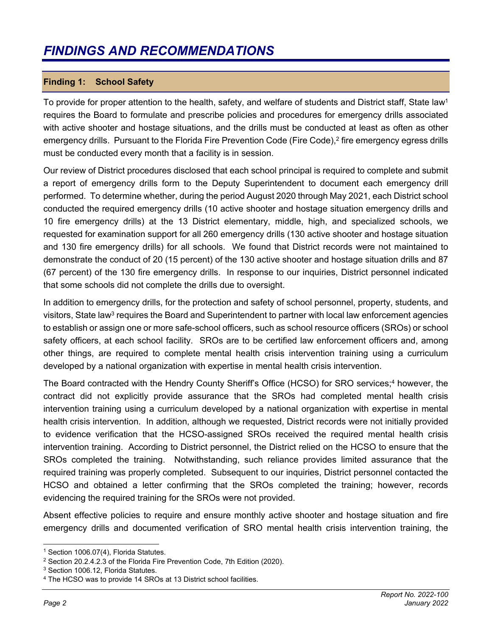### *FINDINGS AND RECOMMENDATIONS*

#### **Finding 1: School Safety**

To provide for proper attention to the health, safety, and welfare of students and District staff, State law<sup>1</sup> requires the Board to formulate and prescribe policies and procedures for emergency drills associated with active shooter and hostage situations, and the drills must be conducted at least as often as other emergency drills. Pursuant to the Florida Fire Prevention Code (Fire Code),<sup>2</sup> fire emergency egress drills must be conducted every month that a facility is in session.

Our review of District procedures disclosed that each school principal is required to complete and submit a report of emergency drills form to the Deputy Superintendent to document each emergency drill performed. To determine whether, during the period August 2020 through May 2021, each District school conducted the required emergency drills (10 active shooter and hostage situation emergency drills and 10 fire emergency drills) at the 13 District elementary, middle, high, and specialized schools, we requested for examination support for all 260 emergency drills (130 active shooter and hostage situation and 130 fire emergency drills) for all schools. We found that District records were not maintained to demonstrate the conduct of 20 (15 percent) of the 130 active shooter and hostage situation drills and 87 (67 percent) of the 130 fire emergency drills. In response to our inquiries, District personnel indicated that some schools did not complete the drills due to oversight.

In addition to emergency drills, for the protection and safety of school personnel, property, students, and visitors, State law<sup>3</sup> requires the Board and Superintendent to partner with local law enforcement agencies to establish or assign one or more safe-school officers, such as school resource officers (SROs) or school safety officers, at each school facility. SROs are to be certified law enforcement officers and, among other things, are required to complete mental health crisis intervention training using a curriculum developed by a national organization with expertise in mental health crisis intervention.

The Board contracted with the Hendry County Sheriff's Office (HCSO) for SRO services;<sup>4</sup> however, the contract did not explicitly provide assurance that the SROs had completed mental health crisis intervention training using a curriculum developed by a national organization with expertise in mental health crisis intervention. In addition, although we requested, District records were not initially provided to evidence verification that the HCSO-assigned SROs received the required mental health crisis intervention training. According to District personnel, the District relied on the HCSO to ensure that the SROs completed the training. Notwithstanding, such reliance provides limited assurance that the required training was properly completed. Subsequent to our inquiries, District personnel contacted the HCSO and obtained a letter confirming that the SROs completed the training; however, records evidencing the required training for the SROs were not provided.

Absent effective policies to require and ensure monthly active shooter and hostage situation and fire emergency drills and documented verification of SRO mental health crisis intervention training, the

<sup>&</sup>lt;sup>1</sup> Section 1006.07(4), Florida Statutes.

<sup>2</sup> Section 20.2.4.2.3 of the Florida Fire Prevention Code, 7th Edition (2020).

<sup>3</sup> Section 1006.12, Florida Statutes.

<sup>4</sup> The HCSO was to provide 14 SROs at 13 District school facilities.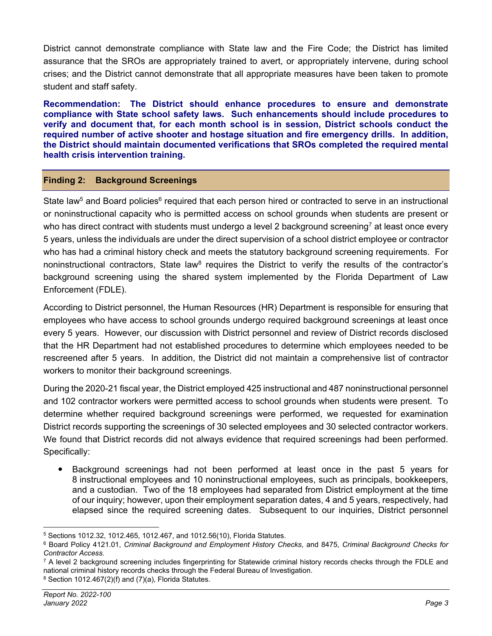District cannot demonstrate compliance with State law and the Fire Code; the District has limited assurance that the SROs are appropriately trained to avert, or appropriately intervene, during school crises; and the District cannot demonstrate that all appropriate measures have been taken to promote student and staff safety.

**Recommendation: The District should enhance procedures to ensure and demonstrate compliance with State school safety laws. Such enhancements should include procedures to verify and document that, for each month school is in session, District schools conduct the required number of active shooter and hostage situation and fire emergency drills. In addition, the District should maintain documented verifications that SROs completed the required mental health crisis intervention training.** 

#### **Finding 2: Background Screenings**

State law<sup>5</sup> and Board policies<sup>6</sup> required that each person hired or contracted to serve in an instructional or noninstructional capacity who is permitted access on school grounds when students are present or who has direct contract with students must undergo a level 2 background screening<sup>7</sup> at least once every 5 years, unless the individuals are under the direct supervision of a school district employee or contractor who has had a criminal history check and meets the statutory background screening requirements. For noninstructional contractors, State law<sup>8</sup> requires the District to verify the results of the contractor's background screening using the shared system implemented by the Florida Department of Law Enforcement (FDLE).

According to District personnel, the Human Resources (HR) Department is responsible for ensuring that employees who have access to school grounds undergo required background screenings at least once every 5 years. However, our discussion with District personnel and review of District records disclosed that the HR Department had not established procedures to determine which employees needed to be rescreened after 5 years. In addition, the District did not maintain a comprehensive list of contractor workers to monitor their background screenings.

During the 2020-21 fiscal year, the District employed 425 instructional and 487 noninstructional personnel and 102 contractor workers were permitted access to school grounds when students were present. To determine whether required background screenings were performed, we requested for examination District records supporting the screenings of 30 selected employees and 30 selected contractor workers. We found that District records did not always evidence that required screenings had been performed. Specifically:

 Background screenings had not been performed at least once in the past 5 years for 8 instructional employees and 10 noninstructional employees, such as principals, bookkeepers, and a custodian. Two of the 18 employees had separated from District employment at the time of our inquiry; however, upon their employment separation dates, 4 and 5 years, respectively, had elapsed since the required screening dates. Subsequent to our inquiries, District personnel

<sup>5</sup> Sections 1012.32, 1012.465, 1012.467, and 1012.56(10), Florida Statutes.<br><sup>6</sup> Board Policy 4121.01, *Criminal Background and Employment History Checks*, and 8475, *Criminal Background Checks for Contractor Access.*<br><sup>7</sup> A level 2 background screening includes fingerprinting for Statewide criminal history records checks through the FDLE and

national criminal history records checks through the Federal Bureau of Investigation. 8 Section 1012.467(2)(f) and (7)(a), Florida Statutes.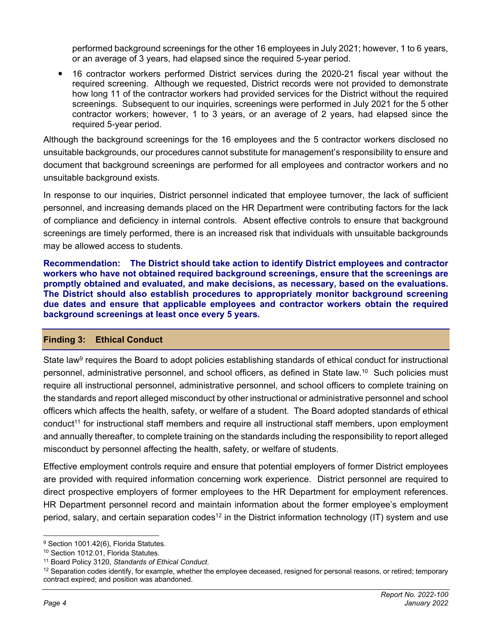performed background screenings for the other 16 employees in July 2021; however, 1 to 6 years, or an average of 3 years, had elapsed since the required 5-year period.

 16 contractor workers performed District services during the 2020-21 fiscal year without the required screening. Although we requested, District records were not provided to demonstrate how long 11 of the contractor workers had provided services for the District without the required screenings. Subsequent to our inquiries, screenings were performed in July 2021 for the 5 other contractor workers; however, 1 to 3 years, or an average of 2 years, had elapsed since the required 5-year period.

Although the background screenings for the 16 employees and the 5 contractor workers disclosed no unsuitable backgrounds, our procedures cannot substitute for management's responsibility to ensure and document that background screenings are performed for all employees and contractor workers and no unsuitable background exists.

In response to our inquiries, District personnel indicated that employee turnover, the lack of sufficient personnel, and increasing demands placed on the HR Department were contributing factors for the lack of compliance and deficiency in internal controls. Absent effective controls to ensure that background screenings are timely performed, there is an increased risk that individuals with unsuitable backgrounds may be allowed access to students.

**Recommendation: The District should take action to identify District employees and contractor workers who have not obtained required background screenings, ensure that the screenings are promptly obtained and evaluated, and make decisions, as necessary, based on the evaluations. The District should also establish procedures to appropriately monitor background screening due dates and ensure that applicable employees and contractor workers obtain the required background screenings at least once every 5 years.** 

#### **Finding 3: Ethical Conduct**

State law<sup>9</sup> requires the Board to adopt policies establishing standards of ethical conduct for instructional personnel, administrative personnel, and school officers, as defined in State law.10 Such policies must require all instructional personnel, administrative personnel, and school officers to complete training on the standards and report alleged misconduct by other instructional or administrative personnel and school officers which affects the health, safety, or welfare of a student. The Board adopted standards of ethical conduct11 for instructional staff members and require all instructional staff members, upon employment and annually thereafter, to complete training on the standards including the responsibility to report alleged misconduct by personnel affecting the health, safety, or welfare of students.

Effective employment controls require and ensure that potential employers of former District employees are provided with required information concerning work experience. District personnel are required to direct prospective employers of former employees to the HR Department for employment references. HR Department personnel record and maintain information about the former employee's employment period, salary, and certain separation codes<sup>12</sup> in the District information technology (IT) system and use

<sup>&</sup>lt;sup>9</sup> Section 1001.42(6), Florida Statutes.

<sup>&</sup>lt;sup>10</sup> Section 1012.01, Florida Statutes.

<sup>&</sup>lt;sup>11</sup> Board Policy 3120, *Standards of Ethical Conduct*.<br><sup>12</sup> Separation codes identify, for example, whether the employee deceased, resigned for personal reasons, or retired; temporary contract expired; and position was abandoned.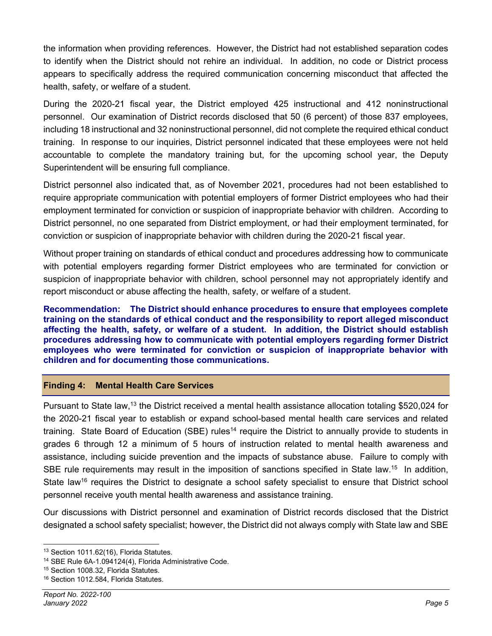the information when providing references. However, the District had not established separation codes to identify when the District should not rehire an individual. In addition, no code or District process appears to specifically address the required communication concerning misconduct that affected the health, safety, or welfare of a student.

During the 2020-21 fiscal year, the District employed 425 instructional and 412 noninstructional personnel. Our examination of District records disclosed that 50 (6 percent) of those 837 employees, including 18 instructional and 32 noninstructional personnel, did not complete the required ethical conduct training. In response to our inquiries, District personnel indicated that these employees were not held accountable to complete the mandatory training but, for the upcoming school year, the Deputy Superintendent will be ensuring full compliance.

District personnel also indicated that, as of November 2021, procedures had not been established to require appropriate communication with potential employers of former District employees who had their employment terminated for conviction or suspicion of inappropriate behavior with children. According to District personnel, no one separated from District employment, or had their employment terminated, for conviction or suspicion of inappropriate behavior with children during the 2020-21 fiscal year.

Without proper training on standards of ethical conduct and procedures addressing how to communicate with potential employers regarding former District employees who are terminated for conviction or suspicion of inappropriate behavior with children, school personnel may not appropriately identify and report misconduct or abuse affecting the health, safety, or welfare of a student.

**Recommendation: The District should enhance procedures to ensure that employees complete training on the standards of ethical conduct and the responsibility to report alleged misconduct affecting the health, safety, or welfare of a student. In addition, the District should establish procedures addressing how to communicate with potential employers regarding former District employees who were terminated for conviction or suspicion of inappropriate behavior with children and for documenting those communications.** 

#### **Finding 4: Mental Health Care Services**

Pursuant to State law,13 the District received a mental health assistance allocation totaling \$520,024 for the 2020-21 fiscal year to establish or expand school-based mental health care services and related training. State Board of Education (SBE) rules<sup>14</sup> require the District to annually provide to students in grades 6 through 12 a minimum of 5 hours of instruction related to mental health awareness and assistance, including suicide prevention and the impacts of substance abuse. Failure to comply with SBE rule requirements may result in the imposition of sanctions specified in State law.<sup>15</sup> In addition, State law<sup>16</sup> requires the District to designate a school safety specialist to ensure that District school personnel receive youth mental health awareness and assistance training.

Our discussions with District personnel and examination of District records disclosed that the District designated a school safety specialist; however, the District did not always comply with State law and SBE

<sup>&</sup>lt;sup>13</sup> Section 1011.62(16), Florida Statutes.

<sup>&</sup>lt;sup>14</sup> SBE Rule 6A-1.094124(4), Florida Administrative Code.<br><sup>15</sup> Section 1008.32, Florida Statutes.

<sup>&</sup>lt;sup>16</sup> Section 1012.584, Florida Statutes.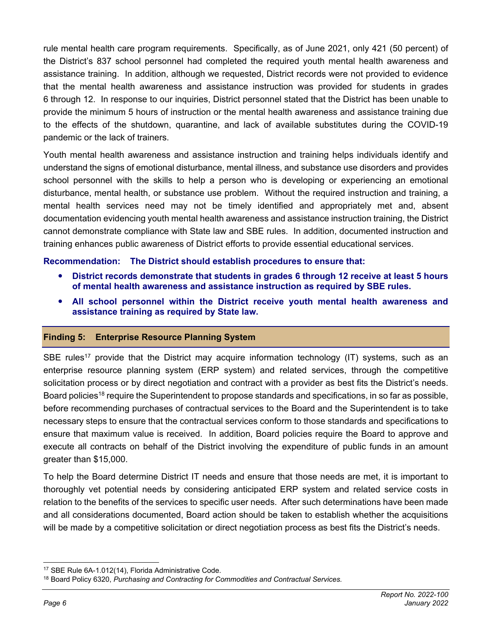rule mental health care program requirements. Specifically, as of June 2021, only 421 (50 percent) of the District's 837 school personnel had completed the required youth mental health awareness and assistance training. In addition, although we requested, District records were not provided to evidence that the mental health awareness and assistance instruction was provided for students in grades 6 through 12. In response to our inquiries, District personnel stated that the District has been unable to provide the minimum 5 hours of instruction or the mental health awareness and assistance training due to the effects of the shutdown, quarantine, and lack of available substitutes during the COVID-19 pandemic or the lack of trainers.

Youth mental health awareness and assistance instruction and training helps individuals identify and understand the signs of emotional disturbance, mental illness, and substance use disorders and provides school personnel with the skills to help a person who is developing or experiencing an emotional disturbance, mental health, or substance use problem. Without the required instruction and training, a mental health services need may not be timely identified and appropriately met and, absent documentation evidencing youth mental health awareness and assistance instruction training, the District cannot demonstrate compliance with State law and SBE rules. In addition, documented instruction and training enhances public awareness of District efforts to provide essential educational services.

#### **Recommendation: The District should establish procedures to ensure that:**

- **District records demonstrate that students in grades 6 through 12 receive at least 5 hours of mental health awareness and assistance instruction as required by SBE rules.**
- **All school personnel within the District receive youth mental health awareness and assistance training as required by State law.**

#### **Finding 5: Enterprise Resource Planning System**

SBE rules<sup>17</sup> provide that the District may acquire information technology (IT) systems, such as an enterprise resource planning system (ERP system) and related services, through the competitive solicitation process or by direct negotiation and contract with a provider as best fits the District's needs. Board policies<sup>18</sup> require the Superintendent to propose standards and specifications, in so far as possible, before recommending purchases of contractual services to the Board and the Superintendent is to take necessary steps to ensure that the contractual services conform to those standards and specifications to ensure that maximum value is received. In addition, Board policies require the Board to approve and execute all contracts on behalf of the District involving the expenditure of public funds in an amount greater than \$15,000.

To help the Board determine District IT needs and ensure that those needs are met, it is important to thoroughly vet potential needs by considering anticipated ERP system and related service costs in relation to the benefits of the services to specific user needs. After such determinations have been made and all considerations documented, Board action should be taken to establish whether the acquisitions will be made by a competitive solicitation or direct negotiation process as best fits the District's needs.

<sup>17</sup> SBE Rule 6A-1.012(14), Florida Administrative Code.

<sup>18</sup> Board Policy 6320, *Purchasing and Contracting for Commodities and Contractual Services.*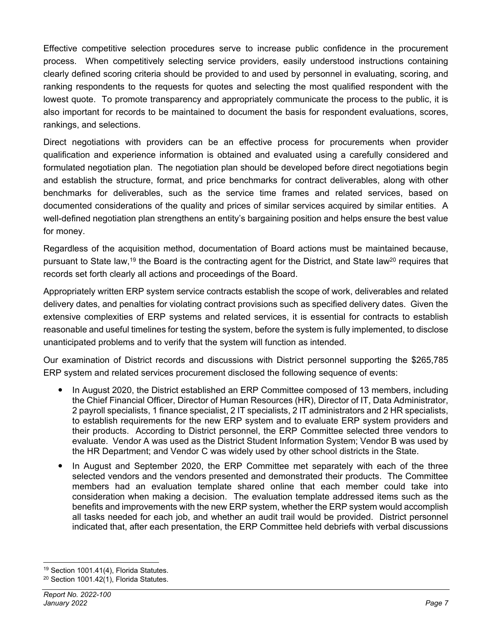Effective competitive selection procedures serve to increase public confidence in the procurement process. When competitively selecting service providers, easily understood instructions containing clearly defined scoring criteria should be provided to and used by personnel in evaluating, scoring, and ranking respondents to the requests for quotes and selecting the most qualified respondent with the lowest quote. To promote transparency and appropriately communicate the process to the public, it is also important for records to be maintained to document the basis for respondent evaluations, scores, rankings, and selections.

Direct negotiations with providers can be an effective process for procurements when provider qualification and experience information is obtained and evaluated using a carefully considered and formulated negotiation plan. The negotiation plan should be developed before direct negotiations begin and establish the structure, format, and price benchmarks for contract deliverables, along with other benchmarks for deliverables, such as the service time frames and related services, based on documented considerations of the quality and prices of similar services acquired by similar entities. A well-defined negotiation plan strengthens an entity's bargaining position and helps ensure the best value for money.

Regardless of the acquisition method, documentation of Board actions must be maintained because, pursuant to State law,<sup>19</sup> the Board is the contracting agent for the District, and State law<sup>20</sup> requires that records set forth clearly all actions and proceedings of the Board.

Appropriately written ERP system service contracts establish the scope of work, deliverables and related delivery dates, and penalties for violating contract provisions such as specified delivery dates. Given the extensive complexities of ERP systems and related services, it is essential for contracts to establish reasonable and useful timelines for testing the system, before the system is fully implemented, to disclose unanticipated problems and to verify that the system will function as intended.

Our examination of District records and discussions with District personnel supporting the \$265,785 ERP system and related services procurement disclosed the following sequence of events:

- In August 2020, the District established an ERP Committee composed of 13 members, including the Chief Financial Officer, Director of Human Resources (HR), Director of IT, Data Administrator, 2 payroll specialists, 1 finance specialist, 2 IT specialists, 2 IT administrators and 2 HR specialists, to establish requirements for the new ERP system and to evaluate ERP system providers and their products. According to District personnel, the ERP Committee selected three vendors to evaluate. Vendor A was used as the District Student Information System; Vendor B was used by the HR Department; and Vendor C was widely used by other school districts in the State.
- In August and September 2020, the ERP Committee met separately with each of the three selected vendors and the vendors presented and demonstrated their products. The Committee members had an evaluation template shared online that each member could take into consideration when making a decision. The evaluation template addressed items such as the benefits and improvements with the new ERP system, whether the ERP system would accomplish all tasks needed for each job, and whether an audit trail would be provided. District personnel indicated that, after each presentation, the ERP Committee held debriefs with verbal discussions

<sup>19</sup> Section 1001.41(4), Florida Statutes.

<sup>20</sup> Section 1001.42(1), Florida Statutes.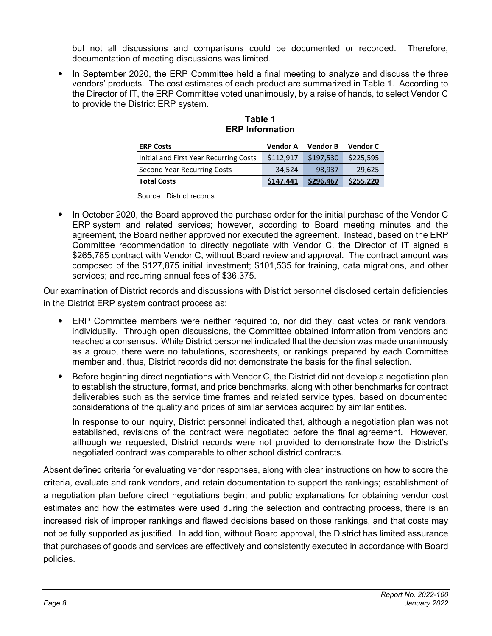but not all discussions and comparisons could be documented or recorded. Therefore, documentation of meeting discussions was limited.

 In September 2020, the ERP Committee held a final meeting to analyze and discuss the three vendors' products. The cost estimates of each product are summarized in Table 1. According to the Director of IT, the ERP Committee voted unanimously, by a raise of hands, to select Vendor C to provide the District ERP system.

| <b>ERP Costs</b>                       | Vendor A  | <b>Vendor B</b> | <b>Vendor C</b> |
|----------------------------------------|-----------|-----------------|-----------------|
| Initial and First Year Recurring Costs | \$112.917 | \$197,530       | \$225,595       |
| Second Year Recurring Costs            | 34.524    | 98.937          | 29,625          |
| <b>Total Costs</b>                     | \$147,441 | \$296,467       | \$255,220       |

#### **Table 1 ERP Information**

Source: District records.

• In October 2020, the Board approved the purchase order for the initial purchase of the Vendor C ERP system and related services; however, according to Board meeting minutes and the agreement, the Board neither approved nor executed the agreement. Instead, based on the ERP Committee recommendation to directly negotiate with Vendor C, the Director of IT signed a \$265,785 contract with Vendor C, without Board review and approval. The contract amount was composed of the \$127,875 initial investment; \$101,535 for training, data migrations, and other services; and recurring annual fees of \$36,375.

Our examination of District records and discussions with District personnel disclosed certain deficiencies in the District ERP system contract process as:

- ERP Committee members were neither required to, nor did they, cast votes or rank vendors, individually. Through open discussions, the Committee obtained information from vendors and reached a consensus. While District personnel indicated that the decision was made unanimously as a group, there were no tabulations, scoresheets, or rankings prepared by each Committee member and, thus, District records did not demonstrate the basis for the final selection.
- Before beginning direct negotiations with Vendor C, the District did not develop a negotiation plan to establish the structure, format, and price benchmarks, along with other benchmarks for contract deliverables such as the service time frames and related service types, based on documented considerations of the quality and prices of similar services acquired by similar entities.

In response to our inquiry, District personnel indicated that, although a negotiation plan was not established, revisions of the contract were negotiated before the final agreement. However, although we requested, District records were not provided to demonstrate how the District's negotiated contract was comparable to other school district contracts.

Absent defined criteria for evaluating vendor responses, along with clear instructions on how to score the criteria, evaluate and rank vendors, and retain documentation to support the rankings; establishment of a negotiation plan before direct negotiations begin; and public explanations for obtaining vendor cost estimates and how the estimates were used during the selection and contracting process, there is an increased risk of improper rankings and flawed decisions based on those rankings, and that costs may not be fully supported as justified. In addition, without Board approval, the District has limited assurance that purchases of goods and services are effectively and consistently executed in accordance with Board policies.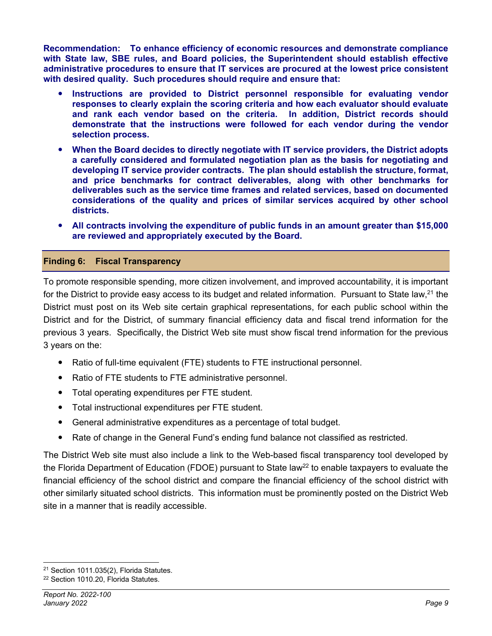**Recommendation: To enhance efficiency of economic resources and demonstrate compliance with State law, SBE rules, and Board policies, the Superintendent should establish effective administrative procedures to ensure that IT services are procured at the lowest price consistent with desired quality. Such procedures should require and ensure that:** 

- **Instructions are provided to District personnel responsible for evaluating vendor responses to clearly explain the scoring criteria and how each evaluator should evaluate and rank each vendor based on the criteria. In addition, District records should demonstrate that the instructions were followed for each vendor during the vendor selection process.**
- **When the Board decides to directly negotiate with IT service providers, the District adopts a carefully considered and formulated negotiation plan as the basis for negotiating and developing IT service provider contracts. The plan should establish the structure, format, and price benchmarks for contract deliverables, along with other benchmarks for deliverables such as the service time frames and related services, based on documented considerations of the quality and prices of similar services acquired by other school districts.**
- **All contracts involving the expenditure of public funds in an amount greater than \$15,000 are reviewed and appropriately executed by the Board.**

#### **Finding 6: Fiscal Transparency**

To promote responsible spending, more citizen involvement, and improved accountability, it is important for the District to provide easy access to its budget and related information. Pursuant to State law,<sup>21</sup> the District must post on its Web site certain graphical representations, for each public school within the District and for the District, of summary financial efficiency data and fiscal trend information for the previous 3 years. Specifically, the District Web site must show fiscal trend information for the previous 3 years on the:

- Ratio of full-time equivalent (FTE) students to FTE instructional personnel.
- Ratio of FTE students to FTE administrative personnel.
- Total operating expenditures per FTE student.
- Total instructional expenditures per FTE student.
- General administrative expenditures as a percentage of total budget.
- Rate of change in the General Fund's ending fund balance not classified as restricted.

The District Web site must also include a link to the Web-based fiscal transparency tool developed by the Florida Department of Education (FDOE) pursuant to State law<sup>22</sup> to enable taxpayers to evaluate the financial efficiency of the school district and compare the financial efficiency of the school district with other similarly situated school districts. This information must be prominently posted on the District Web site in a manner that is readily accessible.

<sup>21</sup> Section 1011.035(2), Florida Statutes.

<sup>22</sup> Section 1010.20, Florida Statutes.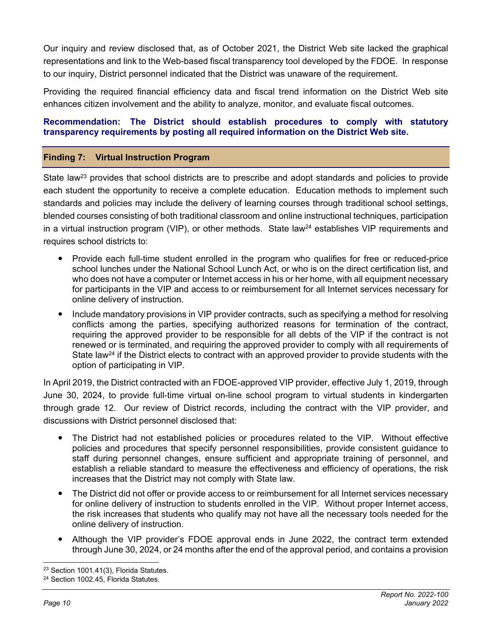Our inquiry and review disclosed that, as of October 2021, the District Web site lacked the graphical representations and link to the Web-based fiscal transparency tool developed by the FDOE. In response to our inquiry, District personnel indicated that the District was unaware of the requirement.

Providing the required financial efficiency data and fiscal trend information on the District Web site enhances citizen involvement and the ability to analyze, monitor, and evaluate fiscal outcomes.

#### **Recommendation: The District should establish procedures to comply with statutory transparency requirements by posting all required information on the District Web site.**

#### **Finding 7: Virtual Instruction Program**

State law<sup>23</sup> provides that school districts are to prescribe and adopt standards and policies to provide each student the opportunity to receive a complete education. Education methods to implement such standards and policies may include the delivery of learning courses through traditional school settings, blended courses consisting of both traditional classroom and online instructional techniques, participation in a virtual instruction program (VIP), or other methods. State law<sup>24</sup> establishes VIP requirements and requires school districts to:

- Provide each full-time student enrolled in the program who qualifies for free or reduced-price school lunches under the National School Lunch Act, or who is on the direct certification list, and who does not have a computer or Internet access in his or her home, with all equipment necessary for participants in the VIP and access to or reimbursement for all Internet services necessary for online delivery of instruction.
- Include mandatory provisions in VIP provider contracts, such as specifying a method for resolving conflicts among the parties, specifying authorized reasons for termination of the contract, requiring the approved provider to be responsible for all debts of the VIP if the contract is not renewed or is terminated, and requiring the approved provider to comply with all requirements of State law<sup>24</sup> if the District elects to contract with an approved provider to provide students with the option of participating in VIP.

In April 2019, the District contracted with an FDOE-approved VIP provider, effective July 1, 2019, through June 30, 2024, to provide full-time virtual on-line school program to virtual students in kindergarten through grade 12. Our review of District records, including the contract with the VIP provider, and discussions with District personnel disclosed that:

- The District had not established policies or procedures related to the VIP. Without effective policies and procedures that specify personnel responsibilities, provide consistent guidance to staff during personnel changes, ensure sufficient and appropriate training of personnel, and establish a reliable standard to measure the effectiveness and efficiency of operations, the risk increases that the District may not comply with State law.
- The District did not offer or provide access to or reimbursement for all Internet services necessary for online delivery of instruction to students enrolled in the VIP. Without proper Internet access, the risk increases that students who qualify may not have all the necessary tools needed for the online delivery of instruction.
- Although the VIP provider's FDOE approval ends in June 2022, the contract term extended through June 30, 2024, or 24 months after the end of the approval period, and contains a provision

<sup>23</sup> Section 1001.41(3), Florida Statutes.

<sup>24</sup> Section 1002.45, Florida Statutes.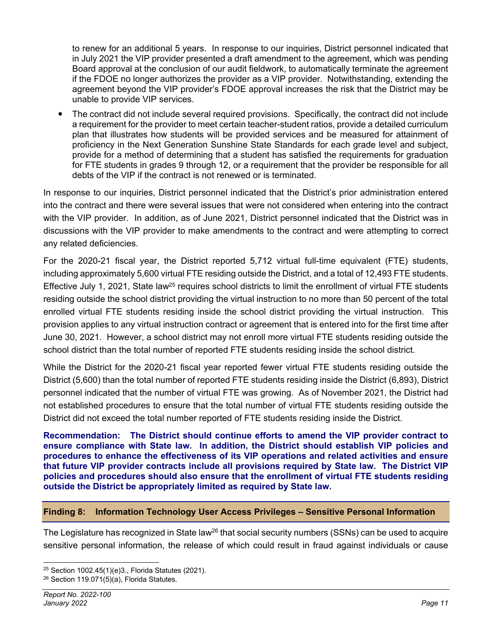to renew for an additional 5 years. In response to our inquiries, District personnel indicated that in July 2021 the VIP provider presented a draft amendment to the agreement, which was pending Board approval at the conclusion of our audit fieldwork, to automatically terminate the agreement if the FDOE no longer authorizes the provider as a VIP provider. Notwithstanding, extending the agreement beyond the VIP provider's FDOE approval increases the risk that the District may be unable to provide VIP services.

 The contract did not include several required provisions. Specifically, the contract did not include a requirement for the provider to meet certain teacher-student ratios, provide a detailed curriculum plan that illustrates how students will be provided services and be measured for attainment of proficiency in the Next Generation Sunshine State Standards for each grade level and subject, provide for a method of determining that a student has satisfied the requirements for graduation for FTE students in grades 9 through 12, or a requirement that the provider be responsible for all debts of the VIP if the contract is not renewed or is terminated.

In response to our inquiries, District personnel indicated that the District's prior administration entered into the contract and there were several issues that were not considered when entering into the contract with the VIP provider. In addition, as of June 2021, District personnel indicated that the District was in discussions with the VIP provider to make amendments to the contract and were attempting to correct any related deficiencies.

For the 2020-21 fiscal year, the District reported 5,712 virtual full-time equivalent (FTE) students, including approximately 5,600 virtual FTE residing outside the District, and a total of 12,493 FTE students. Effective July 1, 2021, State law<sup>25</sup> requires school districts to limit the enrollment of virtual FTE students residing outside the school district providing the virtual instruction to no more than 50 percent of the total enrolled virtual FTE students residing inside the school district providing the virtual instruction. This provision applies to any virtual instruction contract or agreement that is entered into for the first time after June 30, 2021. However, a school district may not enroll more virtual FTE students residing outside the school district than the total number of reported FTE students residing inside the school district.

While the District for the 2020-21 fiscal year reported fewer virtual FTE students residing outside the District (5,600) than the total number of reported FTE students residing inside the District (6,893), District personnel indicated that the number of virtual FTE was growing. As of November 2021, the District had not established procedures to ensure that the total number of virtual FTE students residing outside the District did not exceed the total number reported of FTE students residing inside the District.

**Recommendation: The District should continue efforts to amend the VIP provider contract to ensure compliance with State law. In addition, the District should establish VIP policies and procedures to enhance the effectiveness of its VIP operations and related activities and ensure that future VIP provider contracts include all provisions required by State law. The District VIP policies and procedures should also ensure that the enrollment of virtual FTE students residing outside the District be appropriately limited as required by State law.** 

#### **Finding 8: Information Technology User Access Privileges – Sensitive Personal Information**

The Legislature has recognized in State law<sup>26</sup> that social security numbers (SSNs) can be used to acquire sensitive personal information, the release of which could result in fraud against individuals or cause

<sup>25</sup> Section 1002.45(1)(e)3., Florida Statutes (2021).

 $26$  Section 119.071(5)(a), Florida Statutes.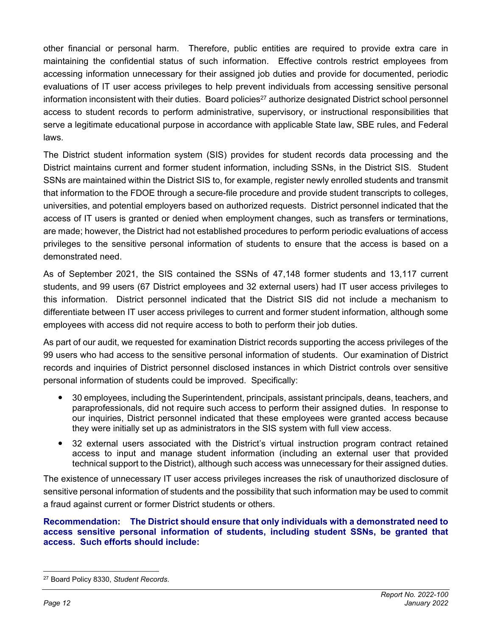other financial or personal harm. Therefore, public entities are required to provide extra care in maintaining the confidential status of such information. Effective controls restrict employees from accessing information unnecessary for their assigned job duties and provide for documented, periodic evaluations of IT user access privileges to help prevent individuals from accessing sensitive personal information inconsistent with their duties. Board policies<sup>27</sup> authorize designated District school personnel access to student records to perform administrative, supervisory, or instructional responsibilities that serve a legitimate educational purpose in accordance with applicable State law, SBE rules, and Federal laws.

The District student information system (SIS) provides for student records data processing and the District maintains current and former student information, including SSNs, in the District SIS. Student SSNs are maintained within the District SIS to, for example, register newly enrolled students and transmit that information to the FDOE through a secure-file procedure and provide student transcripts to colleges, universities, and potential employers based on authorized requests. District personnel indicated that the access of IT users is granted or denied when employment changes, such as transfers or terminations, are made; however, the District had not established procedures to perform periodic evaluations of access privileges to the sensitive personal information of students to ensure that the access is based on a demonstrated need.

As of September 2021, the SIS contained the SSNs of 47,148 former students and 13,117 current students, and 99 users (67 District employees and 32 external users) had IT user access privileges to this information. District personnel indicated that the District SIS did not include a mechanism to differentiate between IT user access privileges to current and former student information, although some employees with access did not require access to both to perform their job duties.

As part of our audit, we requested for examination District records supporting the access privileges of the 99 users who had access to the sensitive personal information of students. Our examination of District records and inquiries of District personnel disclosed instances in which District controls over sensitive personal information of students could be improved. Specifically:

- 30 employees, including the Superintendent, principals, assistant principals, deans, teachers, and paraprofessionals, did not require such access to perform their assigned duties. In response to our inquiries, District personnel indicated that these employees were granted access because they were initially set up as administrators in the SIS system with full view access.
- 32 external users associated with the District's virtual instruction program contract retained access to input and manage student information (including an external user that provided technical support to the District), although such access was unnecessary for their assigned duties.

The existence of unnecessary IT user access privileges increases the risk of unauthorized disclosure of sensitive personal information of students and the possibility that such information may be used to commit a fraud against current or former District students or others.

#### **Recommendation: The District should ensure that only individuals with a demonstrated need to access sensitive personal information of students, including student SSNs, be granted that access. Such efforts should include:**

<sup>27</sup> Board Policy 8330, *Student Records*.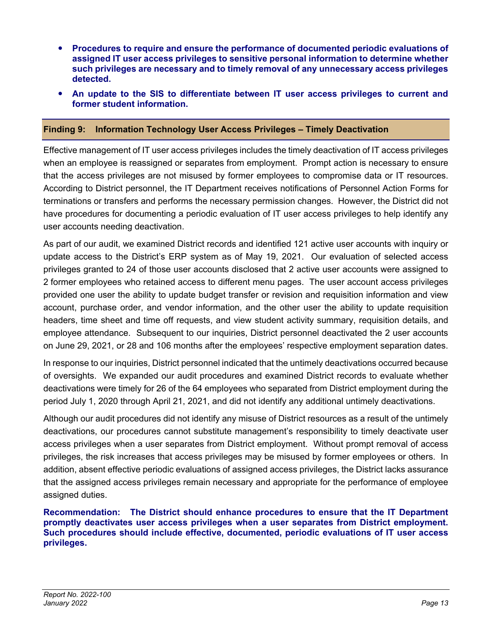- **Procedures to require and ensure the performance of documented periodic evaluations of assigned IT user access privileges to sensitive personal information to determine whether such privileges are necessary and to timely removal of any unnecessary access privileges detected.**
- **An update to the SIS to differentiate between IT user access privileges to current and former student information.**

#### **Finding 9: Information Technology User Access Privileges – Timely Deactivation**

Effective management of IT user access privileges includes the timely deactivation of IT access privileges when an employee is reassigned or separates from employment. Prompt action is necessary to ensure that the access privileges are not misused by former employees to compromise data or IT resources. According to District personnel, the IT Department receives notifications of Personnel Action Forms for terminations or transfers and performs the necessary permission changes. However, the District did not have procedures for documenting a periodic evaluation of IT user access privileges to help identify any user accounts needing deactivation.

As part of our audit, we examined District records and identified 121 active user accounts with inquiry or update access to the District's ERP system as of May 19, 2021. Our evaluation of selected access privileges granted to 24 of those user accounts disclosed that 2 active user accounts were assigned to 2 former employees who retained access to different menu pages. The user account access privileges provided one user the ability to update budget transfer or revision and requisition information and view account, purchase order, and vendor information, and the other user the ability to update requisition headers, time sheet and time off requests, and view student activity summary, requisition details, and employee attendance. Subsequent to our inquiries, District personnel deactivated the 2 user accounts on June 29, 2021, or 28 and 106 months after the employees' respective employment separation dates.

In response to our inquiries, District personnel indicated that the untimely deactivations occurred because of oversights. We expanded our audit procedures and examined District records to evaluate whether deactivations were timely for 26 of the 64 employees who separated from District employment during the period July 1, 2020 through April 21, 2021, and did not identify any additional untimely deactivations.

Although our audit procedures did not identify any misuse of District resources as a result of the untimely deactivations, our procedures cannot substitute management's responsibility to timely deactivate user access privileges when a user separates from District employment. Without prompt removal of access privileges, the risk increases that access privileges may be misused by former employees or others. In addition, absent effective periodic evaluations of assigned access privileges, the District lacks assurance that the assigned access privileges remain necessary and appropriate for the performance of employee assigned duties.

**Recommendation: The District should enhance procedures to ensure that the IT Department promptly deactivates user access privileges when a user separates from District employment. Such procedures should include effective, documented, periodic evaluations of IT user access privileges.**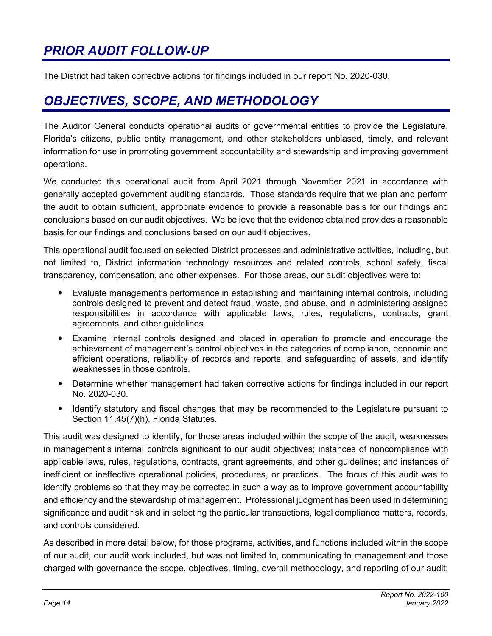## *PRIOR AUDIT FOLLOW-UP*

The District had taken corrective actions for findings included in our report No. 2020-030.

### *OBJECTIVES, SCOPE, AND METHODOLOGY*

The Auditor General conducts operational audits of governmental entities to provide the Legislature, Florida's citizens, public entity management, and other stakeholders unbiased, timely, and relevant information for use in promoting government accountability and stewardship and improving government operations.

We conducted this operational audit from April 2021 through November 2021 in accordance with generally accepted government auditing standards. Those standards require that we plan and perform the audit to obtain sufficient, appropriate evidence to provide a reasonable basis for our findings and conclusions based on our audit objectives. We believe that the evidence obtained provides a reasonable basis for our findings and conclusions based on our audit objectives.

This operational audit focused on selected District processes and administrative activities, including, but not limited to, District information technology resources and related controls, school safety, fiscal transparency, compensation, and other expenses. For those areas, our audit objectives were to:

- Evaluate management's performance in establishing and maintaining internal controls, including controls designed to prevent and detect fraud, waste, and abuse, and in administering assigned responsibilities in accordance with applicable laws, rules, regulations, contracts, grant agreements, and other guidelines.
- Examine internal controls designed and placed in operation to promote and encourage the achievement of management's control objectives in the categories of compliance, economic and efficient operations, reliability of records and reports, and safeguarding of assets, and identify weaknesses in those controls.
- Determine whether management had taken corrective actions for findings included in our report No. 2020-030.
- Identify statutory and fiscal changes that may be recommended to the Legislature pursuant to Section 11.45(7)(h), Florida Statutes.

This audit was designed to identify, for those areas included within the scope of the audit, weaknesses in management's internal controls significant to our audit objectives; instances of noncompliance with applicable laws, rules, regulations, contracts, grant agreements, and other guidelines; and instances of inefficient or ineffective operational policies, procedures, or practices. The focus of this audit was to identify problems so that they may be corrected in such a way as to improve government accountability and efficiency and the stewardship of management. Professional judgment has been used in determining significance and audit risk and in selecting the particular transactions, legal compliance matters, records, and controls considered.

As described in more detail below, for those programs, activities, and functions included within the scope of our audit, our audit work included, but was not limited to, communicating to management and those charged with governance the scope, objectives, timing, overall methodology, and reporting of our audit;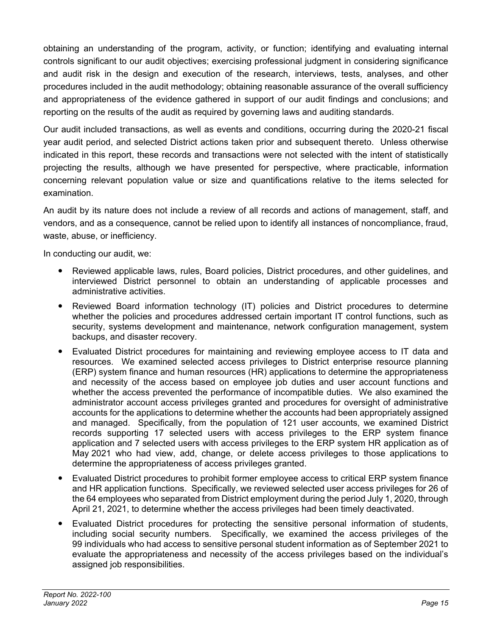obtaining an understanding of the program, activity, or function; identifying and evaluating internal controls significant to our audit objectives; exercising professional judgment in considering significance and audit risk in the design and execution of the research, interviews, tests, analyses, and other procedures included in the audit methodology; obtaining reasonable assurance of the overall sufficiency and appropriateness of the evidence gathered in support of our audit findings and conclusions; and reporting on the results of the audit as required by governing laws and auditing standards.

Our audit included transactions, as well as events and conditions, occurring during the 2020-21 fiscal year audit period, and selected District actions taken prior and subsequent thereto. Unless otherwise indicated in this report, these records and transactions were not selected with the intent of statistically projecting the results, although we have presented for perspective, where practicable, information concerning relevant population value or size and quantifications relative to the items selected for examination.

An audit by its nature does not include a review of all records and actions of management, staff, and vendors, and as a consequence, cannot be relied upon to identify all instances of noncompliance, fraud, waste, abuse, or inefficiency.

In conducting our audit, we:

- Reviewed applicable laws, rules, Board policies, District procedures, and other guidelines, and interviewed District personnel to obtain an understanding of applicable processes and administrative activities.
- Reviewed Board information technology (IT) policies and District procedures to determine whether the policies and procedures addressed certain important IT control functions, such as security, systems development and maintenance, network configuration management, system backups, and disaster recovery.
- Evaluated District procedures for maintaining and reviewing employee access to IT data and resources. We examined selected access privileges to District enterprise resource planning (ERP) system finance and human resources (HR) applications to determine the appropriateness and necessity of the access based on employee job duties and user account functions and whether the access prevented the performance of incompatible duties. We also examined the administrator account access privileges granted and procedures for oversight of administrative accounts for the applications to determine whether the accounts had been appropriately assigned and managed. Specifically, from the population of 121 user accounts, we examined District records supporting 17 selected users with access privileges to the ERP system finance application and 7 selected users with access privileges to the ERP system HR application as of May 2021 who had view, add, change, or delete access privileges to those applications to determine the appropriateness of access privileges granted.
- Evaluated District procedures to prohibit former employee access to critical ERP system finance and HR application functions. Specifically, we reviewed selected user access privileges for 26 of the 64 employees who separated from District employment during the period July 1, 2020, through April 21, 2021, to determine whether the access privileges had been timely deactivated.
- Evaluated District procedures for protecting the sensitive personal information of students, including social security numbers. Specifically, we examined the access privileges of the 99 individuals who had access to sensitive personal student information as of September 2021 to evaluate the appropriateness and necessity of the access privileges based on the individual's assigned job responsibilities.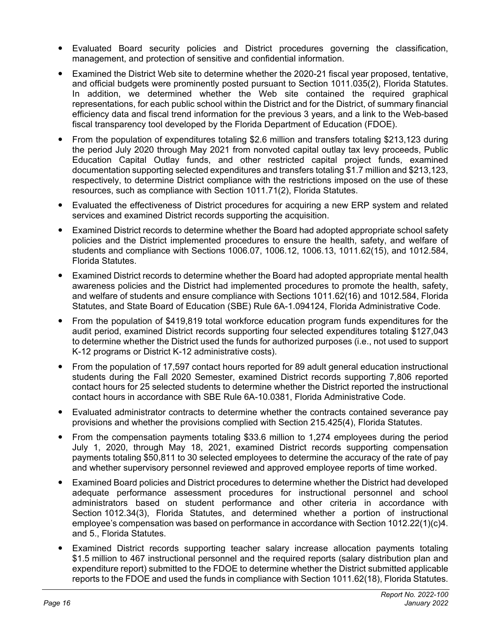- Evaluated Board security policies and District procedures governing the classification, management, and protection of sensitive and confidential information.
- Examined the District Web site to determine whether the 2020-21 fiscal year proposed, tentative, and official budgets were prominently posted pursuant to Section 1011.035(2), Florida Statutes. In addition, we determined whether the Web site contained the required graphical representations, for each public school within the District and for the District, of summary financial efficiency data and fiscal trend information for the previous 3 years, and a link to the Web-based fiscal transparency tool developed by the Florida Department of Education (FDOE).
- From the population of expenditures totaling \$2.6 million and transfers totaling \$213,123 during the period July 2020 through May 2021 from nonvoted capital outlay tax levy proceeds, Public Education Capital Outlay funds, and other restricted capital project funds, examined documentation supporting selected expenditures and transfers totaling \$1.7 million and \$213,123, respectively, to determine District compliance with the restrictions imposed on the use of these resources, such as compliance with Section 1011.71(2), Florida Statutes.
- Evaluated the effectiveness of District procedures for acquiring a new ERP system and related services and examined District records supporting the acquisition.
- Examined District records to determine whether the Board had adopted appropriate school safety policies and the District implemented procedures to ensure the health, safety, and welfare of students and compliance with Sections 1006.07, 1006.12, 1006.13, 1011.62(15), and 1012.584, Florida Statutes.
- Examined District records to determine whether the Board had adopted appropriate mental health awareness policies and the District had implemented procedures to promote the health, safety, and welfare of students and ensure compliance with Sections 1011.62(16) and 1012.584, Florida Statutes, and State Board of Education (SBE) Rule 6A-1.094124, Florida Administrative Code.
- From the population of \$419,819 total workforce education program funds expenditures for the audit period, examined District records supporting four selected expenditures totaling \$127,043 to determine whether the District used the funds for authorized purposes (i.e., not used to support K-12 programs or District K-12 administrative costs).
- From the population of 17,597 contact hours reported for 89 adult general education instructional students during the Fall 2020 Semester, examined District records supporting 7,806 reported contact hours for 25 selected students to determine whether the District reported the instructional contact hours in accordance with SBE Rule 6A-10.0381, Florida Administrative Code.
- Evaluated administrator contracts to determine whether the contracts contained severance pay provisions and whether the provisions complied with Section 215.425(4), Florida Statutes.
- From the compensation payments totaling \$33.6 million to 1,274 employees during the period July 1, 2020, through May 18, 2021, examined District records supporting compensation payments totaling \$50,811 to 30 selected employees to determine the accuracy of the rate of pay and whether supervisory personnel reviewed and approved employee reports of time worked.
- Examined Board policies and District procedures to determine whether the District had developed adequate performance assessment procedures for instructional personnel and school administrators based on student performance and other criteria in accordance with Section 1012.34(3), Florida Statutes, and determined whether a portion of instructional employee's compensation was based on performance in accordance with Section 1012.22(1)(c)4. and 5., Florida Statutes.
- Examined District records supporting teacher salary increase allocation payments totaling \$1.5 million to 467 instructional personnel and the required reports (salary distribution plan and expenditure report) submitted to the FDOE to determine whether the District submitted applicable reports to the FDOE and used the funds in compliance with Section 1011.62(18), Florida Statutes.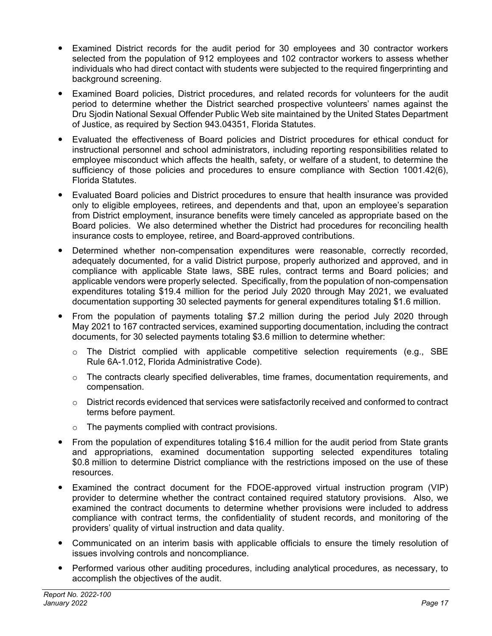- Examined District records for the audit period for 30 employees and 30 contractor workers selected from the population of 912 employees and 102 contractor workers to assess whether individuals who had direct contact with students were subjected to the required fingerprinting and background screening.
- Examined Board policies, District procedures, and related records for volunteers for the audit period to determine whether the District searched prospective volunteers' names against the Dru Sjodin National Sexual Offender Public Web site maintained by the United States Department of Justice, as required by Section 943.04351, Florida Statutes.
- Evaluated the effectiveness of Board policies and District procedures for ethical conduct for instructional personnel and school administrators, including reporting responsibilities related to employee misconduct which affects the health, safety, or welfare of a student, to determine the sufficiency of those policies and procedures to ensure compliance with Section 1001.42(6), Florida Statutes.
- Evaluated Board policies and District procedures to ensure that health insurance was provided only to eligible employees, retirees, and dependents and that, upon an employee's separation from District employment, insurance benefits were timely canceled as appropriate based on the Board policies. We also determined whether the District had procedures for reconciling health insurance costs to employee, retiree, and Board-approved contributions.
- Determined whether non-compensation expenditures were reasonable, correctly recorded, adequately documented, for a valid District purpose, properly authorized and approved, and in compliance with applicable State laws, SBE rules, contract terms and Board policies; and applicable vendors were properly selected. Specifically, from the population of non-compensation expenditures totaling \$19.4 million for the period July 2020 through May 2021, we evaluated documentation supporting 30 selected payments for general expenditures totaling \$1.6 million.
- From the population of payments totaling \$7.2 million during the period July 2020 through May 2021 to 167 contracted services, examined supporting documentation, including the contract documents, for 30 selected payments totaling \$3.6 million to determine whether:
	- $\circ$  The District complied with applicable competitive selection requirements (e.g., SBE Rule 6A-1.012, Florida Administrative Code).
	- $\circ$  The contracts clearly specified deliverables, time frames, documentation requirements, and compensation.
	- $\circ$  District records evidenced that services were satisfactorily received and conformed to contract terms before payment.
	- $\circ$  The payments complied with contract provisions.
- From the population of expenditures totaling \$16.4 million for the audit period from State grants and appropriations, examined documentation supporting selected expenditures totaling \$0.8 million to determine District compliance with the restrictions imposed on the use of these resources.
- Examined the contract document for the FDOE-approved virtual instruction program (VIP) provider to determine whether the contract contained required statutory provisions. Also, we examined the contract documents to determine whether provisions were included to address compliance with contract terms, the confidentiality of student records, and monitoring of the providers' quality of virtual instruction and data quality.
- Communicated on an interim basis with applicable officials to ensure the timely resolution of issues involving controls and noncompliance.
- Performed various other auditing procedures, including analytical procedures, as necessary, to accomplish the objectives of the audit.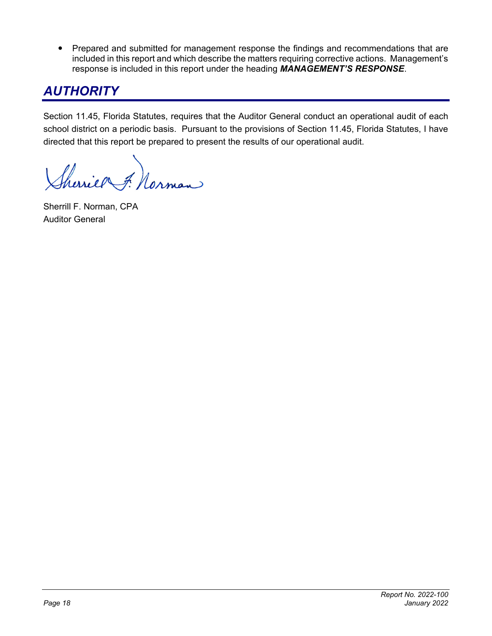• Prepared and submitted for management response the findings and recommendations that are included in this report and which describe the matters requiring corrective actions. Management's response is included in this report under the heading *MANAGEMENT'S RESPONSE*.

## *AUTHORITY*

Section 11.45, Florida Statutes, requires that the Auditor General conduct an operational audit of each school district on a periodic basis. Pursuant to the provisions of Section 11.45, Florida Statutes, I have directed that this report be prepared to present the results of our operational audit.

Charier F. Norman

Sherrill F. Norman, CPA Auditor General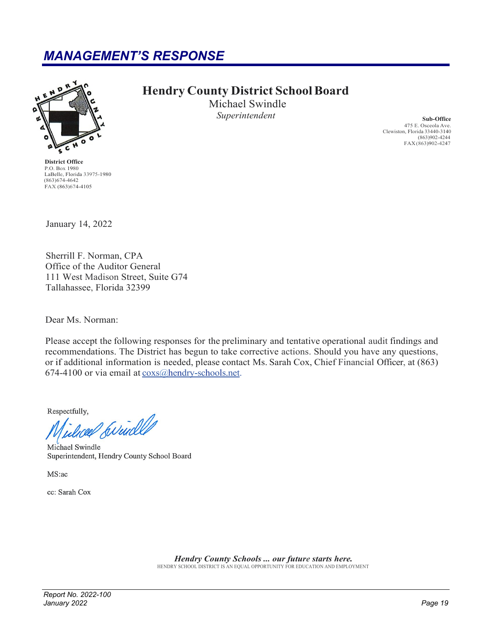### *MANAGEMENT'S RESPONSE*



**District Office** P.O. Box 1980 LaBelle, Florida 33975-1980  $(863)674-4642$ FAX (863)674-4105

### **Hendry County District School Board**

Michael Swindle *Superintendent* **Sub-Office** 

475 E. Osceola Ave. Clewiston, Florida 33440-3140 (863)902-4244 FAX (863)902-4247

January 14, 2022

Sherrill F. Norman, CPA Office of the Auditor General 111 West Madison Street, Suite G74 Tallahassee, Florida 32399

Dear Ms. Norman:

Please accept the following responses for the preliminary and tentative operational audit findings and recommendations. The District has begun to take corrective actions. Should you have any questions, or if additional information is needed, please contact Ms. Sarah Cox, Chief Financial Officer, at (863) 674-4100 or via email at  $\frac{\cos(a)}{b}$  endry-schools.net.

Respectfully,

duced Swindled

Michael Swindle Superintendent, Hendry County School Board

MS:ac

cc: Sarah Cox

*Hendry County Schools ... our future starts here.*

HENDRY SCHOOL DISTRICT IS AN EQUAL OPPORTUNITY FOR EDUCATION AND EMPLOYMENT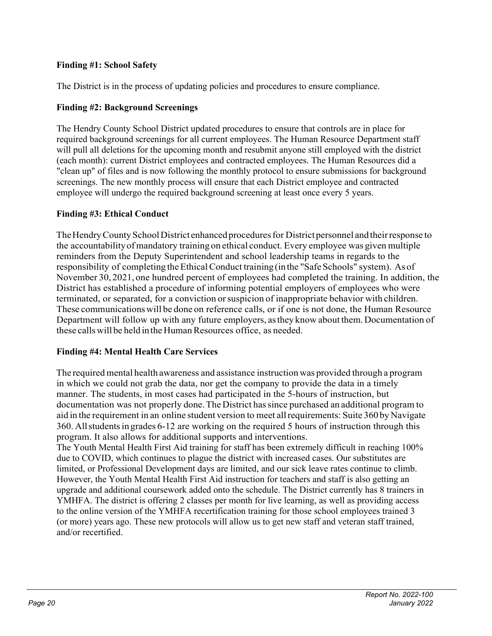#### **Finding #1: School Safety**

The District is in the process of updating policies and procedures to ensure compliance.

#### **Finding #2: Background Screenings**

The Hendry County School District updated procedures to ensure that controls are in place for required background screenings for all current employees. The Human Resource Department staff will pull all deletions for the upcoming month and resubmit anyone still employed with the district (each month): current District employees and contracted employees. The Human Resources did a "clean up" of files and is now following the monthly protocol to ensure submissions for background screenings. The new monthly process will ensure that each District employee and contracted employee will undergo the required background screening at least once every 5 years.

#### **Finding #3: Ethical Conduct**

The Hendry County School District enhanced procedures for District personnel and their response to the accountability of mandatory training on ethical conduct. Every employee was given multiple reminders from the Deputy Superintendent and school leadership teams in regards to the responsibility of completing the Ethical Conduct training (in the "Safe Schools" system). As of November 30, 2021, one hundred percent of employees had completed the training. In addition, the District has established a procedure of informing potential employers of employees who were terminated, or separated, for a conviction or suspicion of inappropriate behavior with children. These communications will be done on reference calls, or if one is not done, the Human Resource Department will follow up with any future employers, as they know about them. Documentation of these calls will be held in the Human Resources office, as needed.

#### **Finding #4: Mental Health Care Services**

The required mental health awareness and assistance instruction was provided through a program in which we could not grab the data, nor get the company to provide the data in a timely manner. The students, in most cases had participated in the 5-hours of instruction, but documentation was not properly done. The District has since purchased an additional program to aid in the requirement in an online student version to meet all requirements: Suite 360 by Navigate 360. All students in grades 6-12 are working on the required 5 hours of instruction through this program. It also allows for additional supports and interventions.

The Youth Mental Health First Aid training for staff has been extremely difficult in reaching 100% due to COVID, which continues to plague the district with increased cases. Our substitutes are limited, or Professional Development days are limited, and our sick leave rates continue to climb. However, the Youth Mental Health First Aid instruction for teachers and staff is also getting an upgrade and additional coursework added onto the schedule. The District currently has 8 trainers in YMHFA. The district is offering 2 classes per month for live learning, as well as providing access to the online version of the YMHFA recertification training for those school employees trained 3 (or more) years ago. These new protocols will allow us to get new staff and veteran staff trained, and/or recertified.